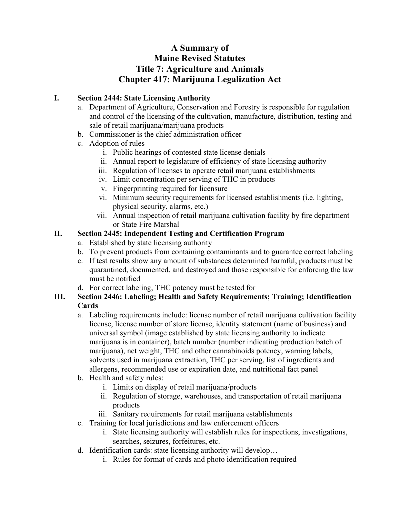# **A Summary of Maine Revised Statutes Title 7: Agriculture and Animals Chapter 417: Marijuana Legalization Act**

## **I. Section 2444: State Licensing Authority**

- a. Department of Agriculture, Conservation and Forestry is responsible for regulation and control of the licensing of the cultivation, manufacture, distribution, testing and sale of retail marijuana/marijuana products
- b. Commissioner is the chief administration officer
- c. Adoption of rules
	- i. Public hearings of contested state license denials
	- ii. Annual report to legislature of efficiency of state licensing authority
	- iii. Regulation of licenses to operate retail marijuana establishments
	- iv. Limit concentration per serving of THC in products
	- v. Fingerprinting required for licensure
	- vi. Minimum security requirements for licensed establishments (i.e. lighting, physical security, alarms, etc.)
	- vii. Annual inspection of retail marijuana cultivation facility by fire department or State Fire Marshal

#### **II. Section 2445: Independent Testing and Certification Program**

- a. Established by state licensing authority
- b. To prevent products from containing contaminants and to guarantee correct labeling
- c. If test results show any amount of substances determined harmful, products must be quarantined, documented, and destroyed and those responsible for enforcing the law must be notified
- d. For correct labeling, THC potency must be tested for

#### **III. Section 2446: Labeling; Health and Safety Requirements; Training; Identification Cards**

- a. Labeling requirements include: license number of retail marijuana cultivation facility license, license number of store license, identity statement (name of business) and universal symbol (image established by state licensing authority to indicate marijuana is in container), batch number (number indicating production batch of marijuana), net weight, THC and other cannabinoids potency, warning labels, solvents used in marijuana extraction, THC per serving, list of ingredients and allergens, recommended use or expiration date, and nutritional fact panel
- b. Health and safety rules:
	- i. Limits on display of retail marijuana/products
	- ii. Regulation of storage, warehouses, and transportation of retail marijuana products
	- iii. Sanitary requirements for retail marijuana establishments
- c. Training for local jurisdictions and law enforcement officers
	- i. State licensing authority will establish rules for inspections, investigations, searches, seizures, forfeitures, etc.
- d. Identification cards: state licensing authority will develop…
	- i. Rules for format of cards and photo identification required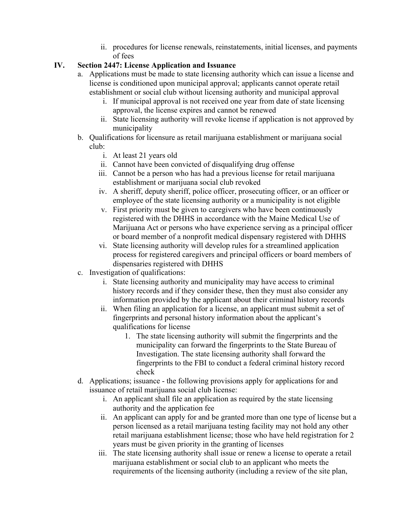ii. procedures for license renewals, reinstatements, initial licenses, and payments of fees

# **IV. Section 2447: License Application and Issuance**

- a. Applications must be made to state licensing authority which can issue a license and license is conditioned upon municipal approval; applicants cannot operate retail establishment or social club without licensing authority and municipal approval
	- i. If municipal approval is not received one year from date of state licensing approval, the license expires and cannot be renewed
	- ii. State licensing authority will revoke license if application is not approved by municipality
- b. Qualifications for licensure as retail marijuana establishment or marijuana social club:
	- i. At least 21 years old
	- ii. Cannot have been convicted of disqualifying drug offense
	- iii. Cannot be a person who has had a previous license for retail marijuana establishment or marijuana social club revoked
	- iv. A sheriff, deputy sheriff, police officer, prosecuting officer, or an officer or employee of the state licensing authority or a municipality is not eligible
	- v. First priority must be given to caregivers who have been continuously registered with the DHHS in accordance with the Maine Medical Use of Marijuana Act or persons who have experience serving as a principal officer or board member of a nonprofit medical dispensary registered with DHHS
	- vi. State licensing authority will develop rules for a streamlined application process for registered caregivers and principal officers or board members of dispensaries registered with DHHS
- c. Investigation of qualifications:
	- i. State licensing authority and municipality may have access to criminal history records and if they consider these, then they must also consider any information provided by the applicant about their criminal history records
	- ii. When filing an application for a license, an applicant must submit a set of fingerprints and personal history information about the applicant's qualifications for license
		- 1. The state licensing authority will submit the fingerprints and the municipality can forward the fingerprints to the State Bureau of Investigation. The state licensing authority shall forward the fingerprints to the FBI to conduct a federal criminal history record check
- d. Applications; issuance the following provisions apply for applications for and issuance of retail marijuana social club license:
	- i. An applicant shall file an application as required by the state licensing authority and the application fee
	- ii. An applicant can apply for and be granted more than one type of license but a person licensed as a retail marijuana testing facility may not hold any other retail marijuana establishment license; those who have held registration for 2 years must be given priority in the granting of licenses
	- iii. The state licensing authority shall issue or renew a license to operate a retail marijuana establishment or social club to an applicant who meets the requirements of the licensing authority (including a review of the site plan,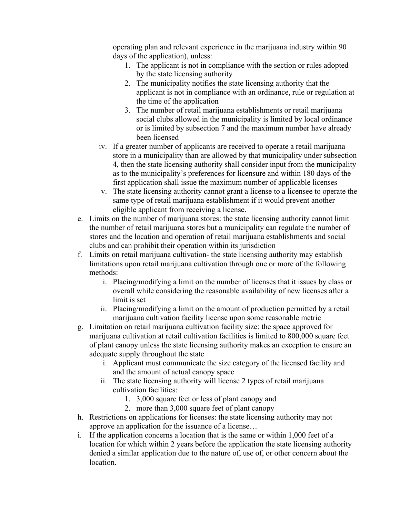operating plan and relevant experience in the marijuana industry within 90 days of the application), unless:

- 1. The applicant is not in compliance with the section or rules adopted by the state licensing authority
- 2. The municipality notifies the state licensing authority that the applicant is not in compliance with an ordinance, rule or regulation at the time of the application
- 3. The number of retail marijuana establishments or retail marijuana social clubs allowed in the municipality is limited by local ordinance or is limited by subsection 7 and the maximum number have already been licensed
- iv. If a greater number of applicants are received to operate a retail marijuana store in a municipality than are allowed by that municipality under subsection 4, then the state licensing authority shall consider input from the municipality as to the municipality's preferences for licensure and within 180 days of the first application shall issue the maximum number of applicable licenses
- v. The state licensing authority cannot grant a license to a licensee to operate the same type of retail marijuana establishment if it would prevent another eligible applicant from receiving a license.
- e. Limits on the number of marijuana stores: the state licensing authority cannot limit the number of retail marijuana stores but a municipality can regulate the number of stores and the location and operation of retail marijuana establishments and social clubs and can prohibit their operation within its jurisdiction
- f. Limits on retail marijuana cultivation- the state licensing authority may establish limitations upon retail marijuana cultivation through one or more of the following methods:
	- i. Placing/modifying a limit on the number of licenses that it issues by class or overall while considering the reasonable availability of new licenses after a limit is set
	- ii. Placing/modifying a limit on the amount of production permitted by a retail marijuana cultivation facility license upon some reasonable metric
- g. Limitation on retail marijuana cultivation facility size: the space approved for marijuana cultivation at retail cultivation facilities is limited to 800,000 square feet of plant canopy unless the state licensing authority makes an exception to ensure an adequate supply throughout the state
	- i. Applicant must communicate the size category of the licensed facility and and the amount of actual canopy space
	- ii. The state licensing authority will license 2 types of retail marijuana cultivation facilities:
		- 1. 3,000 square feet or less of plant canopy and
		- 2. more than 3,000 square feet of plant canopy
- h. Restrictions on applications for licenses: the state licensing authority may not approve an application for the issuance of a license…
- i. If the application concerns a location that is the same or within 1,000 feet of a location for which within 2 years before the application the state licensing authority denied a similar application due to the nature of, use of, or other concern about the location.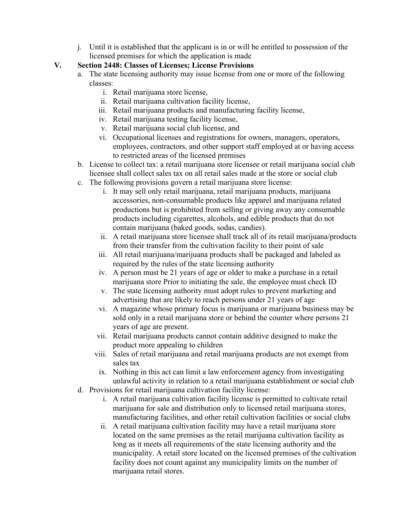j. Until it is established that the applicant is in or will be entitled to possession of the licensed premises for which the application is made

## **V. Section 2448: Classes of Licenses; License Provisions**

- a. The state licensing authority may issue license from one or more of the following classes:
	- i. Retail marijuana store license,
	- ii. Retail marijuana cultivation facility license,
	- iii. Retail marijuana products and manufacturing facility license,
	- iv. Retail marijuana testing facility license,
	- v. Retail marijuana social club license, and
	- vi. Occupational licenses and registrations for owners, managers, operators, employees, contractors, and other support staff employed at or having access to restricted areas of the licensed premises
- b. License to collect tax: a retail marijuana store licensee or retail marijuana social club licensee shall collect sales tax on all retail sales made at the store or social club
- c. The following provisions govern a retail marijuana store license:
	- i. It may sell only retail marijuana, retail marijuana products, marijuana accessories, non-consumable products like apparel and marijuana related productions but is prohibited from selling or giving away any consumable products including cigarettes, alcohols, and edible products that do not contain marijuana (baked goods, sodas, candies).
	- ii. A retail marijuana store licensee shall track all of its retail marijuana/products from their transfer from the cultivation facility to their point of sale
	- iii. All retail marijuana/marijuana products shall be packaged and labeled as required by the rules of the state licensing authority
	- iv. A person must be 21 years of age or older to make a purchase in a retail marijuana store Prior to initiating the sale, the employee must check ID
	- v. The state licensing authority must adopt rules to prevent marketing and advertising that are likely to reach persons under 21 years of age
	- vi. A magazine whose primary focus is marijuana or marijuana business may be sold only in a retail marijuana store or behind the counter where persons 21 years of age are present.
	- vii. Retail marijuana products cannot contain additive designed to make the product more appealing to children
	- viii. Sales of retail marijuana and retail marijuana products are not exempt from sales tax
	- ix. Nothing in this act can limit a law enforcement agency from investigating unlawful activity in relation to a retail marijuana establishment or social club
- d. Provisions for retail marijuana cultivation facility license:
	- i. A retail marijuana cultivation facility license is permitted to cultivate retail marijuana for sale and distribution only to licensed retail marijuana stores, manufacturing facilities, and other retail cultivation facilities or social clubs
	- ii. A retail marijuana cultivation facility may have a retail marijuana store located on the same premises as the retail marijuana cultivation facility as long as it meets all requirements of the state licensing authority and the municipality. A retail store located on the licensed premises of the cultivation facility does not count against any municipality limits on the number of marijuana retail stores.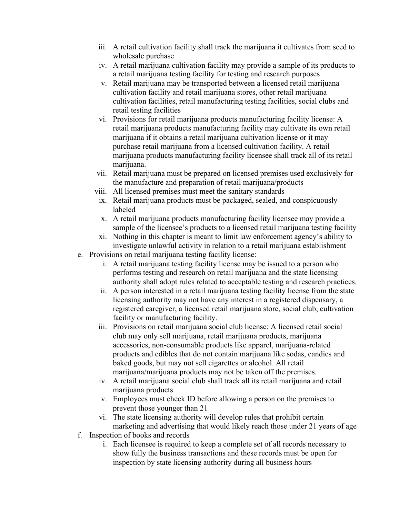- iii. A retail cultivation facility shall track the marijuana it cultivates from seed to wholesale purchase
- iv. A retail marijuana cultivation facility may provide a sample of its products to a retail marijuana testing facility for testing and research purposes
- v. Retail marijuana may be transported between a licensed retail marijuana cultivation facility and retail marijuana stores, other retail marijuana cultivation facilities, retail manufacturing testing facilities, social clubs and retail testing facilities
- vi. Provisions for retail marijuana products manufacturing facility license: A retail marijuana products manufacturing facility may cultivate its own retail marijuana if it obtains a retail marijuana cultivation license or it may purchase retail marijuana from a licensed cultivation facility. A retail marijuana products manufacturing facility licensee shall track all of its retail marijuana.
- vii. Retail marijuana must be prepared on licensed premises used exclusively for the manufacture and preparation of retail marijuana/products
- viii. All licensed premises must meet the sanitary standards
- ix. Retail marijuana products must be packaged, sealed, and conspicuously labeled
- x. A retail marijuana products manufacturing facility licensee may provide a sample of the licensee's products to a licensed retail marijuana testing facility
- xi. Nothing in this chapter is meant to limit law enforcement agency's ability to investigate unlawful activity in relation to a retail marijuana establishment
- e. Provisions on retail marijuana testing facility license:
	- i. A retail marijuana testing facility license may be issued to a person who performs testing and research on retail marijuana and the state licensing authority shall adopt rules related to acceptable testing and research practices.
	- ii. A person interested in a retail marijuana testing facility license from the state licensing authority may not have any interest in a registered dispensary, a registered caregiver, a licensed retail marijuana store, social club, cultivation facility or manufacturing facility.
	- iii. Provisions on retail marijuana social club license: A licensed retail social club may only sell marijuana, retail marijuana products, marijuana accessories, non-consumable products like apparel, marijuana-related products and edibles that do not contain marijuana like sodas, candies and baked goods, but may not sell cigarettes or alcohol. All retail marijuana/marijuana products may not be taken off the premises.
	- iv. A retail marijuana social club shall track all its retail marijuana and retail marijuana products
	- v. Employees must check ID before allowing a person on the premises to prevent those younger than 21
	- vi. The state licensing authority will develop rules that prohibit certain marketing and advertising that would likely reach those under 21 years of age
- f. Inspection of books and records
	- i. Each licensee is required to keep a complete set of all records necessary to show fully the business transactions and these records must be open for inspection by state licensing authority during all business hours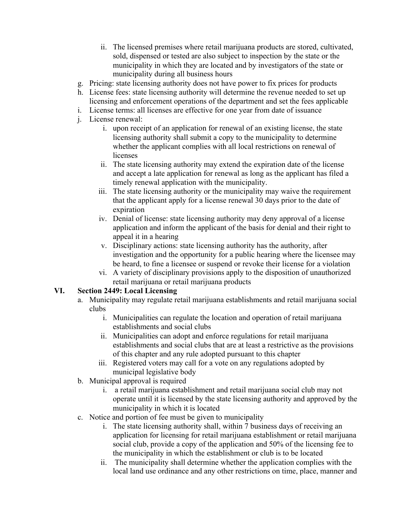- ii. The licensed premises where retail marijuana products are stored, cultivated, sold, dispensed or tested are also subject to inspection by the state or the municipality in which they are located and by investigators of the state or municipality during all business hours
- g. Pricing: state licensing authority does not have power to fix prices for products
- h. License fees: state licensing authority will determine the revenue needed to set up licensing and enforcement operations of the department and set the fees applicable
- i. License terms: all licenses are effective for one year from date of issuance
- j. License renewal:
	- i. upon receipt of an application for renewal of an existing license, the state licensing authority shall submit a copy to the municipality to determine whether the applicant complies with all local restrictions on renewal of licenses
	- ii. The state licensing authority may extend the expiration date of the license and accept a late application for renewal as long as the applicant has filed a timely renewal application with the municipality.
	- iii. The state licensing authority or the municipality may waive the requirement that the applicant apply for a license renewal 30 days prior to the date of expiration
	- iv. Denial of license: state licensing authority may deny approval of a license application and inform the applicant of the basis for denial and their right to appeal it in a hearing
	- v. Disciplinary actions: state licensing authority has the authority, after investigation and the opportunity for a public hearing where the licensee may be heard, to fine a licensee or suspend or revoke their license for a violation
	- vi. A variety of disciplinary provisions apply to the disposition of unauthorized retail marijuana or retail marijuana products

## **VI. Section 2449: Local Licensing**

- a. Municipality may regulate retail marijuana establishments and retail marijuana social clubs
	- i. Municipalities can regulate the location and operation of retail marijuana establishments and social clubs
	- ii. Municipalities can adopt and enforce regulations for retail marijuana establishments and social clubs that are at least a restrictive as the provisions of this chapter and any rule adopted pursuant to this chapter
	- iii. Registered voters may call for a vote on any regulations adopted by municipal legislative body
- b. Municipal approval is required
	- i. a retail marijuana establishment and retail marijuana social club may not operate until it is licensed by the state licensing authority and approved by the municipality in which it is located
- c. Notice and portion of fee must be given to municipality
	- i. The state licensing authority shall, within 7 business days of receiving an application for licensing for retail marijuana establishment or retail marijuana social club, provide a copy of the application and 50% of the licensing fee to the municipality in which the establishment or club is to be located
	- ii. The municipality shall determine whether the application complies with the local land use ordinance and any other restrictions on time, place, manner and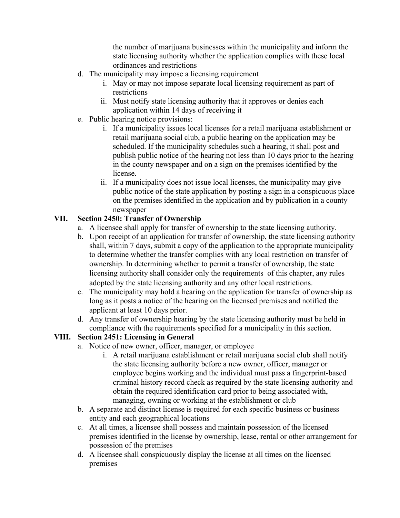the number of marijuana businesses within the municipality and inform the state licensing authority whether the application complies with these local ordinances and restrictions

- d. The municipality may impose a licensing requirement
	- i. May or may not impose separate local licensing requirement as part of restrictions
	- ii. Must notify state licensing authority that it approves or denies each application within 14 days of receiving it
- e. Public hearing notice provisions:
	- i. If a municipality issues local licenses for a retail marijuana establishment or retail marijuana social club, a public hearing on the application may be scheduled. If the municipality schedules such a hearing, it shall post and publish public notice of the hearing not less than 10 days prior to the hearing in the county newspaper and on a sign on the premises identified by the license.
	- ii. If a municipality does not issue local licenses, the municipality may give public notice of the state application by posting a sign in a conspicuous place on the premises identified in the application and by publication in a county newspaper

## **VII. Section 2450: Transfer of Ownership**

- a. A licensee shall apply for transfer of ownership to the state licensing authority.
- b. Upon receipt of an application for transfer of ownership, the state licensing authority shall, within 7 days, submit a copy of the application to the appropriate municipality to determine whether the transfer complies with any local restriction on transfer of ownership. In determining whether to permit a transfer of ownership, the state licensing authority shall consider only the requirements of this chapter, any rules adopted by the state licensing authority and any other local restrictions.
- c. The municipality may hold a hearing on the application for transfer of ownership as long as it posts a notice of the hearing on the licensed premises and notified the applicant at least 10 days prior.
- d. Any transfer of ownership hearing by the state licensing authority must be held in compliance with the requirements specified for a municipality in this section.

# **VIII. Section 2451: Licensing in General**

- a. Notice of new owner, officer, manager, or employee
	- i. A retail marijuana establishment or retail marijuana social club shall notify the state licensing authority before a new owner, officer, manager or employee begins working and the individual must pass a fingerprint-based criminal history record check as required by the state licensing authority and obtain the required identification card prior to being associated with, managing, owning or working at the establishment or club
- b. A separate and distinct license is required for each specific business or business entity and each geographical locations
- c. At all times, a licensee shall possess and maintain possession of the licensed premises identified in the license by ownership, lease, rental or other arrangement for possession of the premises
- d. A licensee shall conspicuously display the license at all times on the licensed premises